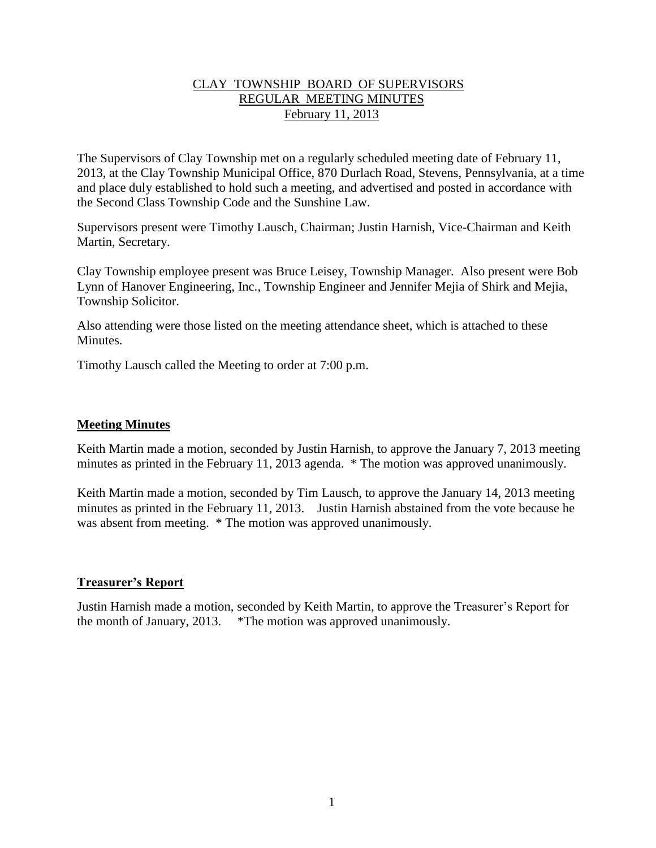### CLAY TOWNSHIP BOARD OF SUPERVISORS REGULAR MEETING MINUTES February 11, 2013

The Supervisors of Clay Township met on a regularly scheduled meeting date of February 11, 2013, at the Clay Township Municipal Office, 870 Durlach Road, Stevens, Pennsylvania, at a time and place duly established to hold such a meeting, and advertised and posted in accordance with the Second Class Township Code and the Sunshine Law.

Supervisors present were Timothy Lausch, Chairman; Justin Harnish, Vice-Chairman and Keith Martin, Secretary.

Clay Township employee present was Bruce Leisey, Township Manager. Also present were Bob Lynn of Hanover Engineering, Inc., Township Engineer and Jennifer Mejia of Shirk and Mejia, Township Solicitor.

Also attending were those listed on the meeting attendance sheet, which is attached to these Minutes.

Timothy Lausch called the Meeting to order at 7:00 p.m.

### **Meeting Minutes**

Keith Martin made a motion, seconded by Justin Harnish, to approve the January 7, 2013 meeting minutes as printed in the February 11, 2013 agenda. \* The motion was approved unanimously.

Keith Martin made a motion, seconded by Tim Lausch, to approve the January 14, 2013 meeting minutes as printed in the February 11, 2013. Justin Harnish abstained from the vote because he was absent from meeting. \* The motion was approved unanimously.

# **Treasurer's Report**

Justin Harnish made a motion, seconded by Keith Martin, to approve the Treasurer's Report for the month of January, 2013. \*The motion was approved unanimously.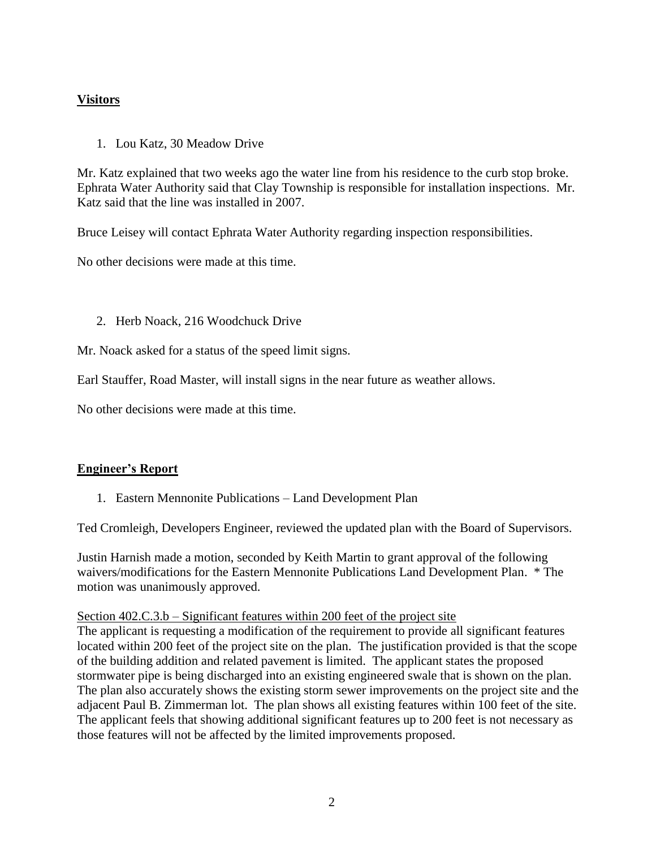# **Visitors**

1. Lou Katz, 30 Meadow Drive

Mr. Katz explained that two weeks ago the water line from his residence to the curb stop broke. Ephrata Water Authority said that Clay Township is responsible for installation inspections. Mr. Katz said that the line was installed in 2007.

Bruce Leisey will contact Ephrata Water Authority regarding inspection responsibilities.

No other decisions were made at this time.

2. Herb Noack, 216 Woodchuck Drive

Mr. Noack asked for a status of the speed limit signs.

Earl Stauffer, Road Master, will install signs in the near future as weather allows.

No other decisions were made at this time.

# **Engineer's Report**

1. Eastern Mennonite Publications – Land Development Plan

Ted Cromleigh, Developers Engineer, reviewed the updated plan with the Board of Supervisors.

Justin Harnish made a motion, seconded by Keith Martin to grant approval of the following waivers/modifications for the Eastern Mennonite Publications Land Development Plan. \* The motion was unanimously approved.

#### Section 402.C.3.b – Significant features within 200 feet of the project site

The applicant is requesting a modification of the requirement to provide all significant features located within 200 feet of the project site on the plan. The justification provided is that the scope of the building addition and related pavement is limited. The applicant states the proposed stormwater pipe is being discharged into an existing engineered swale that is shown on the plan. The plan also accurately shows the existing storm sewer improvements on the project site and the adjacent Paul B. Zimmerman lot. The plan shows all existing features within 100 feet of the site. The applicant feels that showing additional significant features up to 200 feet is not necessary as those features will not be affected by the limited improvements proposed.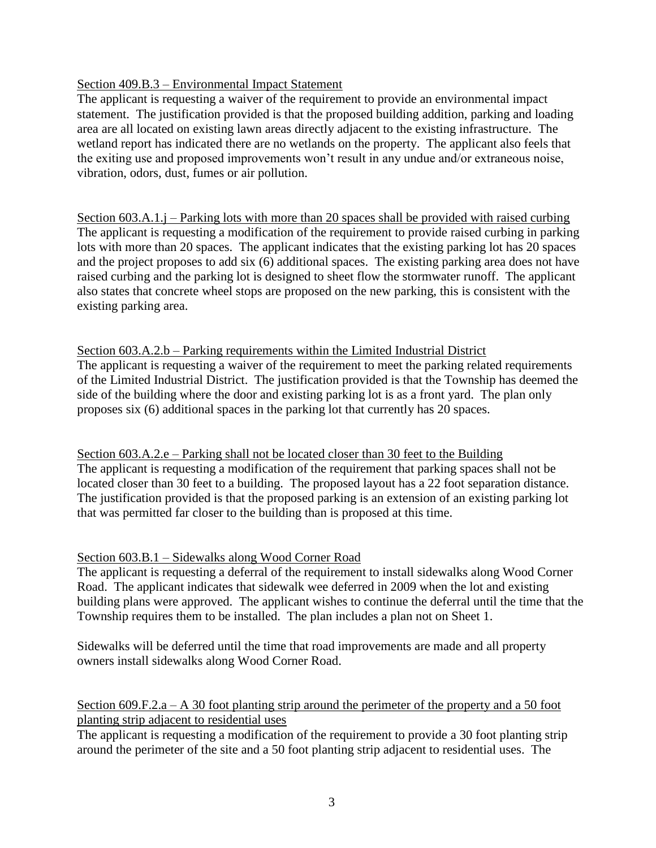### Section 409.B.3 – Environmental Impact Statement

The applicant is requesting a waiver of the requirement to provide an environmental impact statement. The justification provided is that the proposed building addition, parking and loading area are all located on existing lawn areas directly adjacent to the existing infrastructure. The wetland report has indicated there are no wetlands on the property. The applicant also feels that the exiting use and proposed improvements won't result in any undue and/or extraneous noise, vibration, odors, dust, fumes or air pollution.

Section 603.A.1.j – Parking lots with more than 20 spaces shall be provided with raised curbing The applicant is requesting a modification of the requirement to provide raised curbing in parking lots with more than 20 spaces. The applicant indicates that the existing parking lot has 20 spaces and the project proposes to add six (6) additional spaces. The existing parking area does not have raised curbing and the parking lot is designed to sheet flow the stormwater runoff. The applicant also states that concrete wheel stops are proposed on the new parking, this is consistent with the existing parking area.

#### Section 603.A.2.b – Parking requirements within the Limited Industrial District

The applicant is requesting a waiver of the requirement to meet the parking related requirements of the Limited Industrial District. The justification provided is that the Township has deemed the side of the building where the door and existing parking lot is as a front yard. The plan only proposes six (6) additional spaces in the parking lot that currently has 20 spaces.

### Section 603.A.2.e – Parking shall not be located closer than 30 feet to the Building The applicant is requesting a modification of the requirement that parking spaces shall not be located closer than 30 feet to a building. The proposed layout has a 22 foot separation distance. The justification provided is that the proposed parking is an extension of an existing parking lot that was permitted far closer to the building than is proposed at this time.

# Section 603.B.1 – Sidewalks along Wood Corner Road

The applicant is requesting a deferral of the requirement to install sidewalks along Wood Corner Road. The applicant indicates that sidewalk wee deferred in 2009 when the lot and existing building plans were approved. The applicant wishes to continue the deferral until the time that the Township requires them to be installed. The plan includes a plan not on Sheet 1.

Sidewalks will be deferred until the time that road improvements are made and all property owners install sidewalks along Wood Corner Road.

### Section 609.F.2.a – A 30 foot planting strip around the perimeter of the property and a 50 foot planting strip adjacent to residential uses

The applicant is requesting a modification of the requirement to provide a 30 foot planting strip around the perimeter of the site and a 50 foot planting strip adjacent to residential uses. The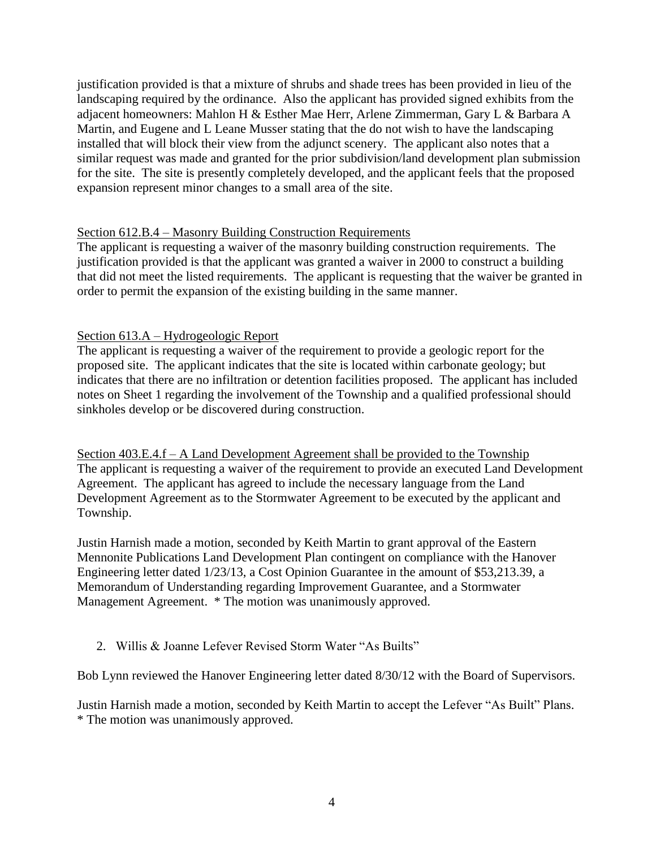justification provided is that a mixture of shrubs and shade trees has been provided in lieu of the landscaping required by the ordinance. Also the applicant has provided signed exhibits from the adjacent homeowners: Mahlon H & Esther Mae Herr, Arlene Zimmerman, Gary L & Barbara A Martin, and Eugene and L Leane Musser stating that the do not wish to have the landscaping installed that will block their view from the adjunct scenery. The applicant also notes that a similar request was made and granted for the prior subdivision/land development plan submission for the site. The site is presently completely developed, and the applicant feels that the proposed expansion represent minor changes to a small area of the site.

### Section 612.B.4 – Masonry Building Construction Requirements

The applicant is requesting a waiver of the masonry building construction requirements. The justification provided is that the applicant was granted a waiver in 2000 to construct a building that did not meet the listed requirements. The applicant is requesting that the waiver be granted in order to permit the expansion of the existing building in the same manner.

### Section 613.A – Hydrogeologic Report

The applicant is requesting a waiver of the requirement to provide a geologic report for the proposed site. The applicant indicates that the site is located within carbonate geology; but indicates that there are no infiltration or detention facilities proposed. The applicant has included notes on Sheet 1 regarding the involvement of the Township and a qualified professional should sinkholes develop or be discovered during construction.

Section 403.E.4.f – A Land Development Agreement shall be provided to the Township The applicant is requesting a waiver of the requirement to provide an executed Land Development Agreement. The applicant has agreed to include the necessary language from the Land Development Agreement as to the Stormwater Agreement to be executed by the applicant and Township.

Justin Harnish made a motion, seconded by Keith Martin to grant approval of the Eastern Mennonite Publications Land Development Plan contingent on compliance with the Hanover Engineering letter dated 1/23/13, a Cost Opinion Guarantee in the amount of \$53,213.39, a Memorandum of Understanding regarding Improvement Guarantee, and a Stormwater Management Agreement. \* The motion was unanimously approved.

# 2. Willis & Joanne Lefever Revised Storm Water "As Builts"

Bob Lynn reviewed the Hanover Engineering letter dated 8/30/12 with the Board of Supervisors.

Justin Harnish made a motion, seconded by Keith Martin to accept the Lefever "As Built" Plans. \* The motion was unanimously approved.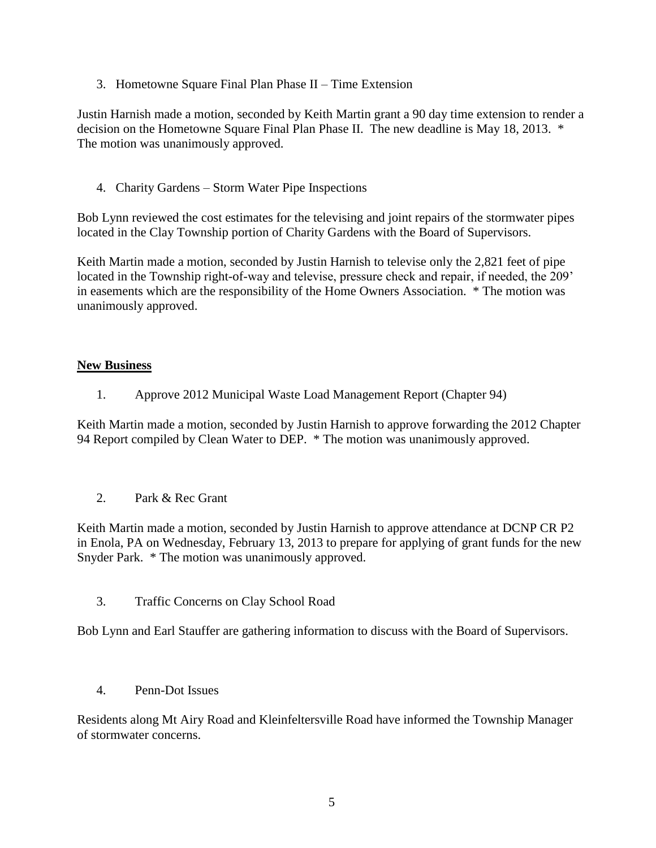3. Hometowne Square Final Plan Phase II – Time Extension

Justin Harnish made a motion, seconded by Keith Martin grant a 90 day time extension to render a decision on the Hometowne Square Final Plan Phase II. The new deadline is May 18, 2013. \* The motion was unanimously approved.

4. Charity Gardens – Storm Water Pipe Inspections

Bob Lynn reviewed the cost estimates for the televising and joint repairs of the stormwater pipes located in the Clay Township portion of Charity Gardens with the Board of Supervisors.

Keith Martin made a motion, seconded by Justin Harnish to televise only the 2,821 feet of pipe located in the Township right-of-way and televise, pressure check and repair, if needed, the 209' in easements which are the responsibility of the Home Owners Association. \* The motion was unanimously approved.

### **New Business**

1. Approve 2012 Municipal Waste Load Management Report (Chapter 94)

Keith Martin made a motion, seconded by Justin Harnish to approve forwarding the 2012 Chapter 94 Report compiled by Clean Water to DEP. \* The motion was unanimously approved.

2. Park & Rec Grant

Keith Martin made a motion, seconded by Justin Harnish to approve attendance at DCNP CR P2 in Enola, PA on Wednesday, February 13, 2013 to prepare for applying of grant funds for the new Snyder Park. \* The motion was unanimously approved.

3. Traffic Concerns on Clay School Road

Bob Lynn and Earl Stauffer are gathering information to discuss with the Board of Supervisors.

4. Penn-Dot Issues

Residents along Mt Airy Road and Kleinfeltersville Road have informed the Township Manager of stormwater concerns.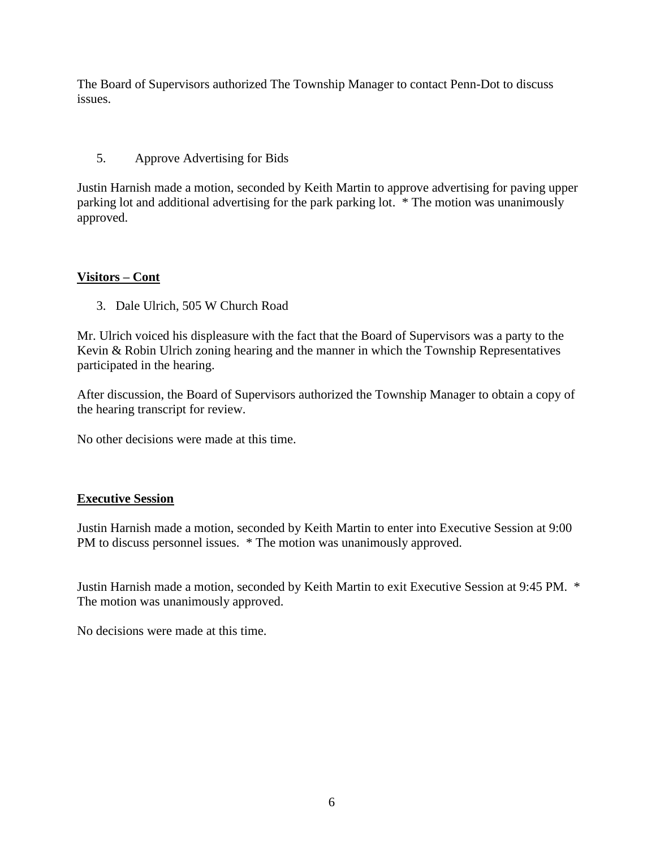The Board of Supervisors authorized The Township Manager to contact Penn-Dot to discuss issues.

# 5. Approve Advertising for Bids

Justin Harnish made a motion, seconded by Keith Martin to approve advertising for paving upper parking lot and additional advertising for the park parking lot. \* The motion was unanimously approved.

# **Visitors – Cont**

3. Dale Ulrich, 505 W Church Road

Mr. Ulrich voiced his displeasure with the fact that the Board of Supervisors was a party to the Kevin & Robin Ulrich zoning hearing and the manner in which the Township Representatives participated in the hearing.

After discussion, the Board of Supervisors authorized the Township Manager to obtain a copy of the hearing transcript for review.

No other decisions were made at this time.

# **Executive Session**

Justin Harnish made a motion, seconded by Keith Martin to enter into Executive Session at 9:00 PM to discuss personnel issues. \* The motion was unanimously approved.

Justin Harnish made a motion, seconded by Keith Martin to exit Executive Session at 9:45 PM. \* The motion was unanimously approved.

No decisions were made at this time.